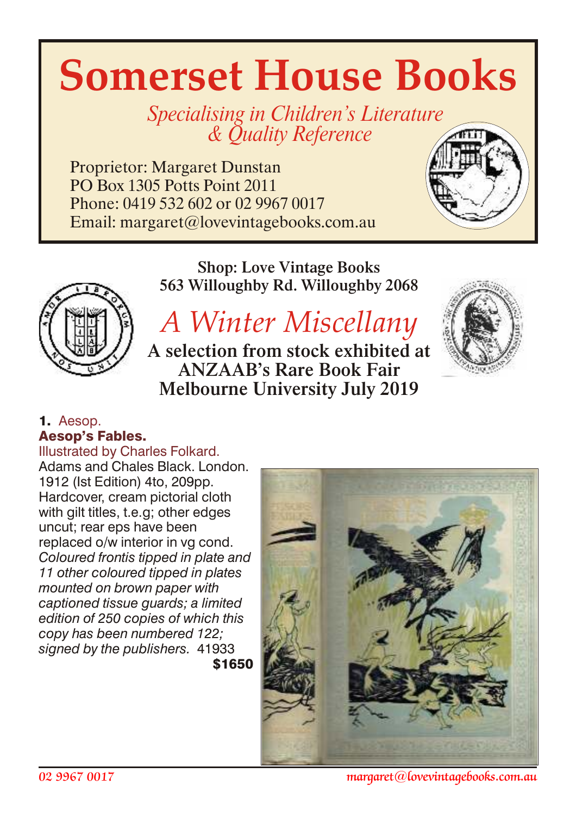# **Somerset House Books**

Specialising in Children's Literature & *Quality Reference* 

Proprietor: Margaret Dunstan PO Box 1305 Potts Point 2011 Phone: 0419 532 602 or 02 9967 0017 Email: margaret@lovevintagebooks.com.au



Shop: Love Vintage Books 563 Willoughby Rd. Willoughby 2068



# *A Winter Miscellany*

A selection from stock exhibited at ANZAAB's Rare Book Fair Melbourne University July 2019



# 1. Aesop. Aesop's Fables.

Illustrated by Charles Folkard.

Adams and Chales Black. London. 1912 (Ist Edition) 4to, 209pp. Hardcover, cream pictorial cloth with gilt titles, t.e.g; other edges uncut; rear eps have been replaced o/w interior in vg cond. *Coloured frontis tipped in plate and 11 other coloured tipped in plates mounted on brown paper with captioned tissue guards; a limited edition of 250 copies of which this copy has been numbered 122; signed by the publishers.* 41933 \$1650



*02 9967 0017 margaret@lovevintagebooks.com.au*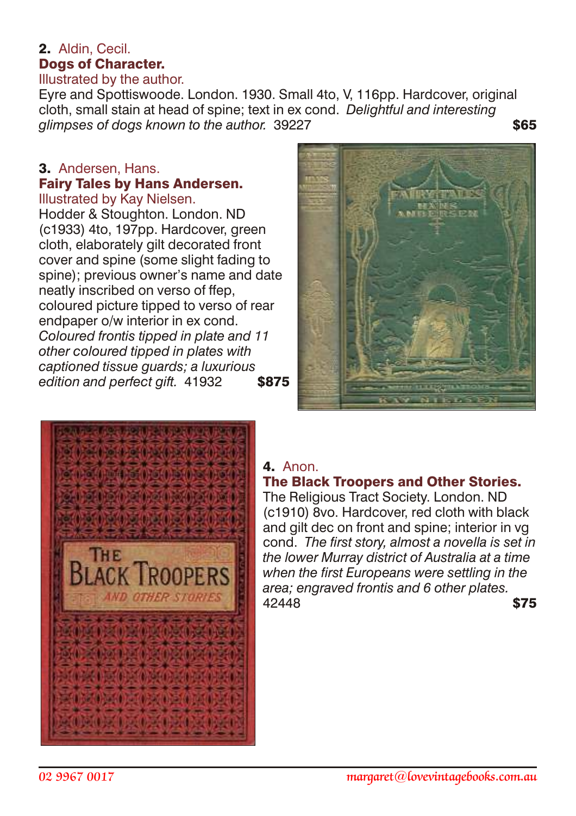#### 2. Aldin, Cecil. Dogs of Character. Illustrated by the author.

Eyre and Spottiswoode. London. 1930. Small 4to, V, 116pp. Hardcover, original cloth, small stain at head of spine; text in ex cond. *Delightful and interesting glimpses of dogs known to the author.* 39227 \$65

# 3. Andersen, Hans. Fairy Tales by Hans Andersen.

Illustrated by Kay Nielsen. Hodder & Stoughton. London. ND (c1933) 4to, 197pp. Hardcover, green cloth, elaborately gilt decorated front cover and spine (some slight fading to spine); previous owner's name and date neatly inscribed on verso of ffep, coloured picture tipped to verso of rear endpaper o/w interior in ex cond. *Coloured frontis tipped in plate and 11 other coloured tipped in plates with captioned tissue guards; a luxurious* edition and perfect gift. 41932 **\$875** 





# 4. Anon.

# The Black Troopers and Other Stories.

The Religious Tract Society. London. ND (c1910) 8vo. Hardcover, red cloth with black and gilt dec on front and spine; interior in vg cond. *The first story, almost a novella is set in the lower Murray district of Australia at a time when the first Europeans were settling in the area; engraved frontis and 6 other plates.* 42448 **\$75**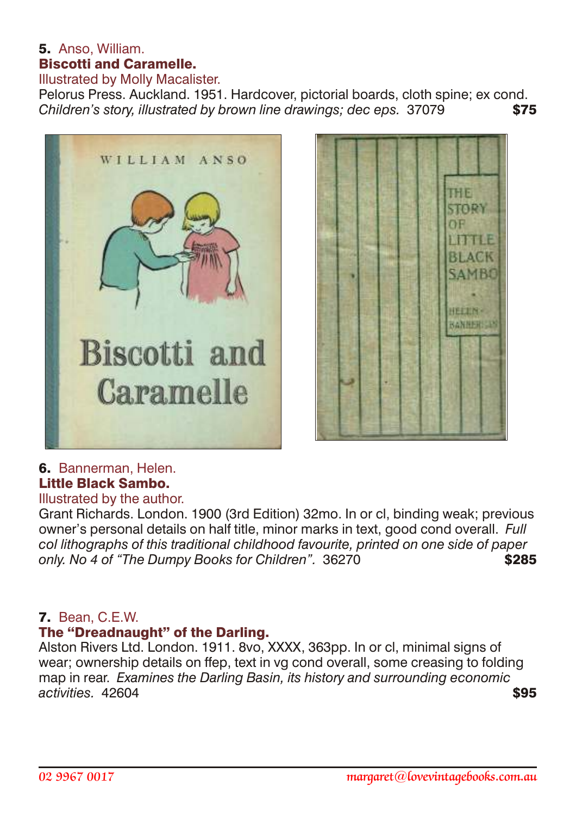# 5. Anso, William. Biscotti and Caramelle.

Illustrated by Molly Macalister.

Pelorus Press. Auckland. 1951. Hardcover, pictorial boards, cloth spine; ex cond. *Children's story, illustrated by brown line drawings; dec eps.* 37079 \$75





# 6. Bannerman, Helen. Little Black Sambo.

# Illustrated by the author.

Grant Richards. London. 1900 (3rd Edition) 32mo. In or cl, binding weak; previous owner's personal details on half title, minor marks in text, good cond overall. *Full col lithographs of this traditional childhood favourite, printed on one side of paper* only. No 4 of "The Dumpy Books for Children". 36270

#### 7. Bean, C.E.W.

#### The "Dreadnaught" of the Darling.

Alston Rivers Ltd. London. 1911. 8vo, XXXX, 363pp. In or cl, minimal signs of wear; ownership details on ffep, text in vg cond overall, some creasing to folding map in rear. *Examines the Darling Basin, its history and surrounding economic activities.* 42604 **\$95**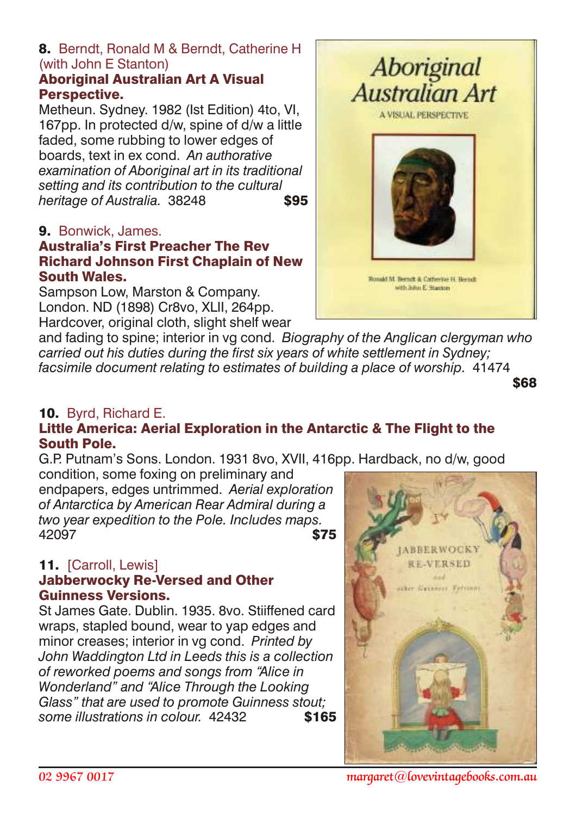# 8. Berndt, Ronald M & Berndt, Catherine H (with John E Stanton)

#### Aboriginal Australian Art A Visual Perspective.

Metheun. Sydney. 1982 (Ist Edition) 4to, VI, 167pp. In protected d/w, spine of d/w a little faded, some rubbing to lower edges of boards, text in ex cond. *An authorative examination of Aboriginal art in its traditional setting and its contribution to the cultural heritage of Australia.* 38248 **\$95** 

# 9. Bonwick, James.

#### Australia's First Preacher The Rev Richard Johnson First Chaplain of New South Wales.

Sampson Low, Marston & Company. London. ND (1898) Cr8vo, XLII, 264pp. Hardcover, original cloth, slight shelf wear



and fading to spine; interior in vg cond. *Biography of the Anglican clergyman who carried out his duties during the first six years of white settlement in Sydney; facsimile document relating to estimates of building a place of worship.* 41474

\$68

# 10. Byrd, Richard E.

# Little America: Aerial Exploration in the Antarctic & The Flight to the South Pole.

G.P. Putnam's Sons. London. 1931 8vo, XVII, 416pp. Hardback, no d/w, good condition, some foxing on preliminary and

endpapers, edges untrimmed. *Aerial exploration of Antarctica by American Rear Admiral during a two year expedition to the Pole. Includes maps.* 42097 **\$75** 

#### 11. [Carroll, Lewis]

#### Jabberwocky Re-Versed and Other Guinness Versions.

St James Gate. Dublin. 1935. 8vo. Stiiffened card wraps, stapled bound, wear to yap edges and minor creases; interior in vg cond. *Printed by John Waddington Ltd in Leeds this is a collection of reworked poems and songs from "Alice in Wonderland" and "Alice Through the Looking Glass" that are used to promote Guinness stout; some illustrations in colour.* 42432 \$165



*02 9967 0017 margaret@lovevintagebooks.com.au*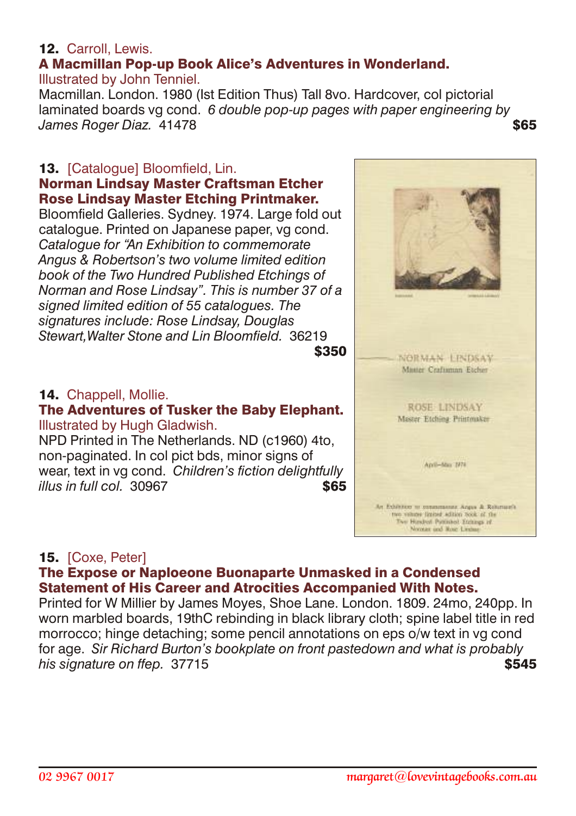# 12. Carroll, Lewis.

#### A Macmillan Pop-up Book Alice's Adventures in Wonderland. Illustrated by John Tenniel.

Macmillan. London. 1980 (Ist Edition Thus) Tall 8vo. Hardcover, col pictorial laminated boards vg cond. *6 double pop-up pages with paper engineering by James Roger Diaz.* 41478 **\$65** 

#### 13. [Catalogue] Bloomfield, Lin. Norman Lindsay Master Craftsman Etcher Rose Lindsay Master Etching Printmaker.

Bloomfield Galleries. Sydney. 1974. Large fold out catalogue. Printed on Japanese paper, vg cond. *Catalogue for "An Exhibition to commemorate Angus & Robertson's two volume limited edition book of the Two Hundred Published Etchings of Norman and Rose Lindsay". This is number 37 of a signed limited edition of 55 catalogues. The signatures include: Rose Lindsay, Douglas Stewart,Walter Stone and Lin Bloomfield.* 36219  $$350$ 



#### The Adventures of Tusker the Baby Elephant. Illustrated by Hugh Gladwish.

NPD Printed in The Netherlands. ND (c1960) 4to, non-paginated. In col pict bds, minor signs of wear, text in vg cond. *Children's fiction delightfully*  $i$ *llus in full col.* 30967



# 15. [Coxe, Peter]

#### The Expose or Naploeone Buonaparte Unmasked in a Condensed Statement of His Career and Atrocities Accompanied With Notes.

Printed for W Millier by James Moyes, Shoe Lane. London. 1809. 24mo, 240pp. In worn marbled boards, 19thC rebinding in black library cloth; spine label title in red morrocco; hinge detaching; some pencil annotations on eps o/w text in vg cond for age. *Sir Richard Burton's bookplate on front pastedown and what is probably his signature on ffep.* 37715 **\$545**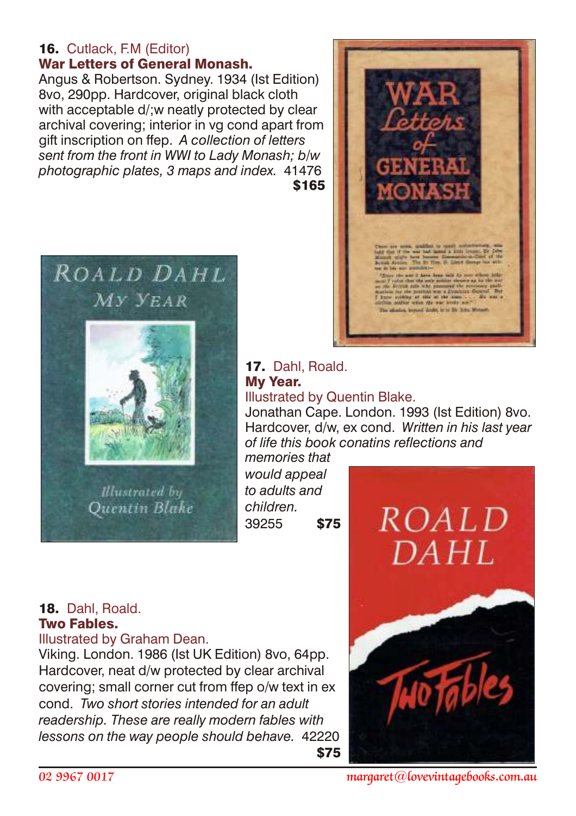#### 16. Cutlack, F.M (Editor) War Letters of General Monash.

Angus & Robertson. Sydney. 1934 (Ist Edition) 8vo, 290pp. Hardcover, original black cloth with acceptable d/; w neatly protected by clear archival covering; interior in vg cond apart from gift inscription on ffep. *A collection of letters sent from the front in WWI to Lady Monash; b/w photographic plates, 3 maps and index.* 41476  $$165$ 





#### 17. Dahl, Roald. My Year. Illustrated by Quentin Blake.

Jonathan Cape. London. 1993 (Ist Edition) 8vo. Hardcover, d/w, ex cond. *Written in his last year of life this book conatins reflections and*

*memories that would appeal to adults and children.* 39255 \$75

# 18. Dahl, Roald. Two Fables.

Illustrated by Graham Dean.

Viking. London. 1986 (Ist UK Edition) 8vo, 64pp. Hardcover, neat d/w protected by clear archival covering; small corner cut from ffep o/w text in ex cond. *Two short stories intended for an adult readership. These are really modern fables with lessons on the way people should behave.* 42220 <u>575 - Santa Amerikaanse Staatsmann (</u>

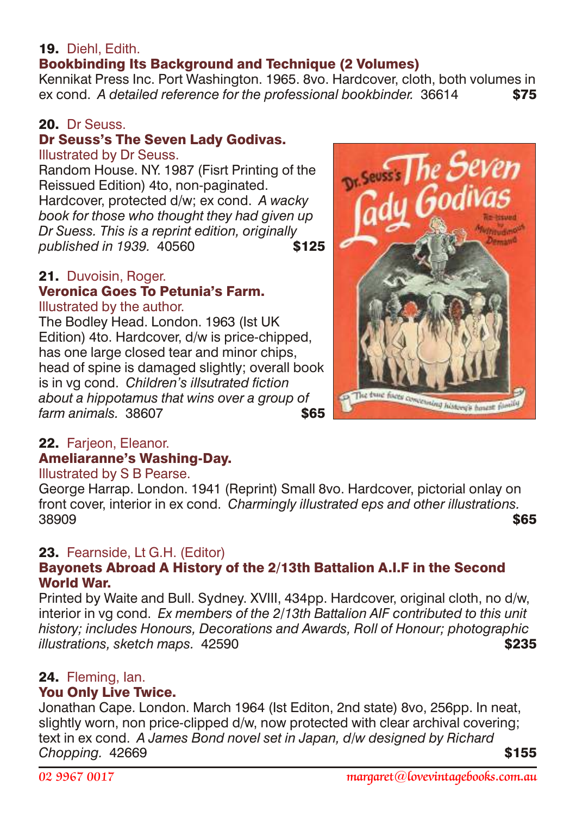# 19. Diehl Fdith

# Bookbinding Its Background and Technique (2 Volumes)

Kennikat Press Inc. Port Washington. 1965. 8vo. Hardcover, cloth, both volumes in ex cond. *A detailed reference for the professional bookbinder.* 36614 \$75

#### 20. Dr Seuss

# Dr Seuss's The Seven Lady Godivas.

#### Illustrated by Dr Seuss.

Random House. NY. 1987 (Fisrt Printing of the Reissued Edition) 4to, non-paginated. Hardcover, protected d/w; ex cond. *A wacky book for those who thought they had given up Dr Suess. This is a reprint edition, originally published in 1939.* 40560 **\$125** 

#### 21. Duvoisin, Roger. Veronica Goes To Petunia's Farm.

#### Illustrated by the author.

The Bodley Head. London. 1963 (Ist UK Edition) 4to. Hardcover, d/w is price-chipped, has one large closed tear and minor chips, head of spine is damaged slightly; overall book is in vg cond. *Children's illsutrated fiction about a hippotamus that wins over a group of farm animals.* 38607



#### Illustrated by S B Pearse.

George Harrap. London. 1941 (Reprint) Small 8vo. Hardcover, pictorial onlay on front cover, interior in ex cond. *Charmingly illustrated eps and other illustrations.* 38909 \$65

# 23. Fearnside, Lt G.H. (Editor)

#### Bayonets Abroad A History of the 2/13th Battalion A.I.F in the Second World War.

Printed by Waite and Bull. Sydney. XVIII, 434pp. Hardcover, original cloth, no d/w, interior in vg cond. *Ex members of the 2/13th Battalion AIF contributed to this unit history; includes Honours, Decorations and Awards, Roll of Honour; photographic illustrations, sketch maps.* 42590 \$235

#### 24. Fleming, Ian.

#### You Only Live Twice.

Jonathan Cape. London. March 1964 (Ist Editon, 2nd state) 8vo, 256pp. In neat, slightly worn, non price-clipped d/w, now protected with clear archival covering; text in ex cond. *A James Bond novel set in Japan, d/w designed by Richard* **Chopping. 42669 \$155** 

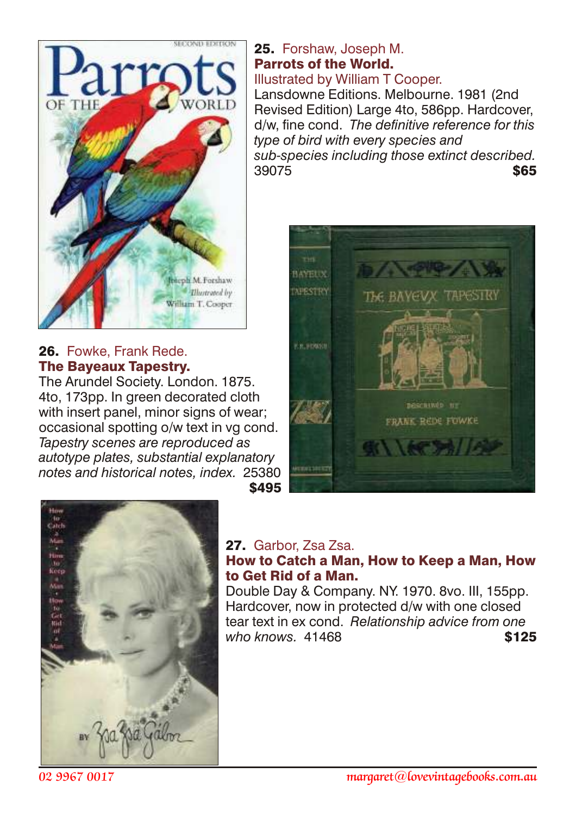

#### 26. Fowke, Frank Rede. The Bayeaux Tapestry.

The Arundel Society. London. 1875. 4to, 173pp. In green decorated cloth with insert panel, minor signs of wear; occasional spotting o/w text in vg cond. *Tapestry scenes are reproduced as autotype plates, substantial explanatory notes and historical notes, index.* 25380  $\sim$  \$495

#### 25. Forshaw, Joseph M. Parrots of the World. Illustrated by William T Cooper.

Lansdowne Editions. Melbourne. 1981 (2nd Revised Edition) Large 4to, 586pp. Hardcover, d/w, fine cond. *The definitive reference for this type of bird with every species and sub-species including those extinct described.*  $39075$  \$65





#### 27. Garbor, Zsa Zsa.

# How to Catch a Man, How to Keep a Man, How to Get Rid of a Man.

Double Day & Company. NY. 1970. 8vo. III, 155pp. Hardcover, now in protected d/w with one closed tear text in ex cond. *Relationship advice from one* who knows. 41468 **\$125**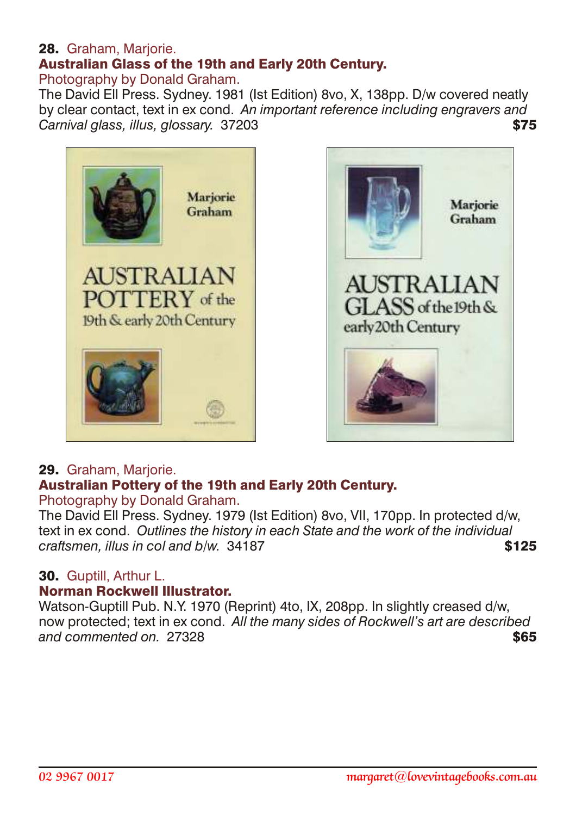#### 28. Graham, Marjorie. Australian Glass of the 19th and Early 20th Century. Photography by Donald Graham.

The David Ell Press. Sydney. 1981 (Ist Edition) 8vo, X, 138pp. D/w covered neatly by clear contact, text in ex cond. *An important reference including engravers and* Carnival glass, illus, glossary. 37203





#### 29. Graham, Mariorie. Australian Pottery of the 19th and Early 20th Century. Photography by Donald Graham.

The David Ell Press. Sydney. 1979 (Ist Edition) 8vo, VII, 170pp. In protected d/w, text in ex cond. *Outlines the history in each State and the work of the individual craftsmen, illus in col and b/w.* 34187 **\$125** 

# 30. Guptill, Arthur L.

#### Norman Rockwell Illustrator.

Watson-Guptill Pub. N.Y. 1970 (Reprint) 4to, IX, 208pp. In slightly creased d/w. now protected; text in ex cond. *All the many sides of Rockwell's art are described* **and commented on.** 27328 **\$65**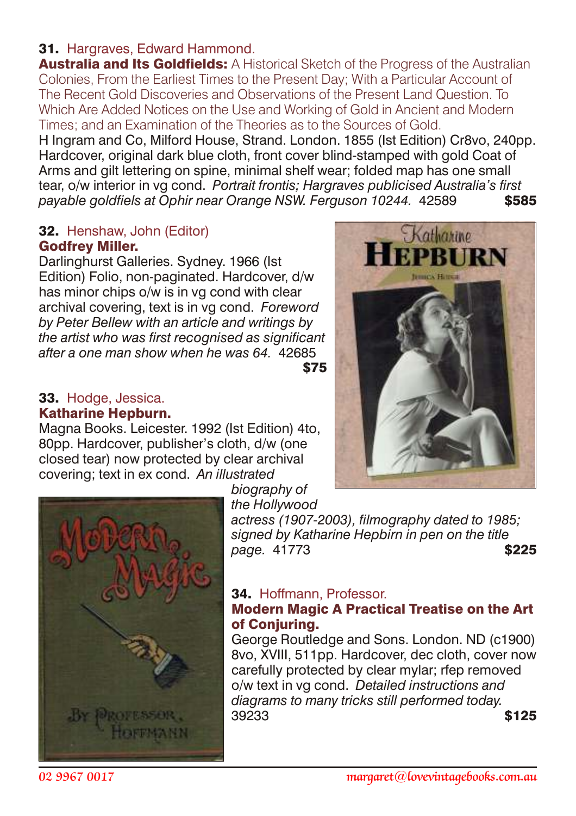# 31. Hargraves, Edward Hammond.

Australia and Its Goldfields: A Historical Sketch of the Progress of the Australian Colonies, From the Earliest Times to the Present Day; With a Particular Account of The Recent Gold Discoveries and Observations of the Present Land Question. To Which Are Added Notices on the Use and Working of Gold in Ancient and Modern Times; and an Examination of the Theories as to the Sources of Gold.

H Ingram and Co, Milford House, Strand. London. 1855 (Ist Edition) Cr8vo, 240pp. Hardcover, original dark blue cloth, front cover blind-stamped with gold Coat of Arms and gilt lettering on spine, minimal shelf wear; folded map has one small tear, o/w interior in vg cond. *Portrait frontis; Hargraves publicised Australia's first payable goldfiels at Ophir near Orange NSW. Ferguson 10244.* 42589 \$585

#### 32. Henshaw, John (Editor) Godfrey Miller.

Darlinghurst Galleries. Sydney. 1966 (Ist Edition) Folio, non-paginated. Hardcover, d/w has minor chips o/w is in vg cond with clear archival covering, text is in vg cond. *Foreword by Peter Bellew with an article and writings by the artist who was first recognised as significant after a one man show when he was 64.* 42685  $$75$ 

#### 33. Hodge, Jessica. Katharine Hepburn.

Magna Books. Leicester. 1992 (Ist Edition) 4to, 80pp. Hardcover, publisher's cloth, d/w (one closed tear) now protected by clear archival covering; text in ex cond. *An illustrated*





*biography of the Hollywood*

*actress (1907-2003), filmography dated to 1985; signed by Katharine Hepbirn in pen on the title* page. 41773 **\$225** 

# 34. Hoffmann, Professor.

#### Modern Magic A Practical Treatise on the Art of Conjuring.

George Routledge and Sons. London. ND (c1900) 8vo, XVIII, 511pp. Hardcover, dec cloth, cover now carefully protected by clear mylar; rfep removed o/w text in vg cond. *Detailed instructions and diagrams to many tricks still performed today.* 39233 \$125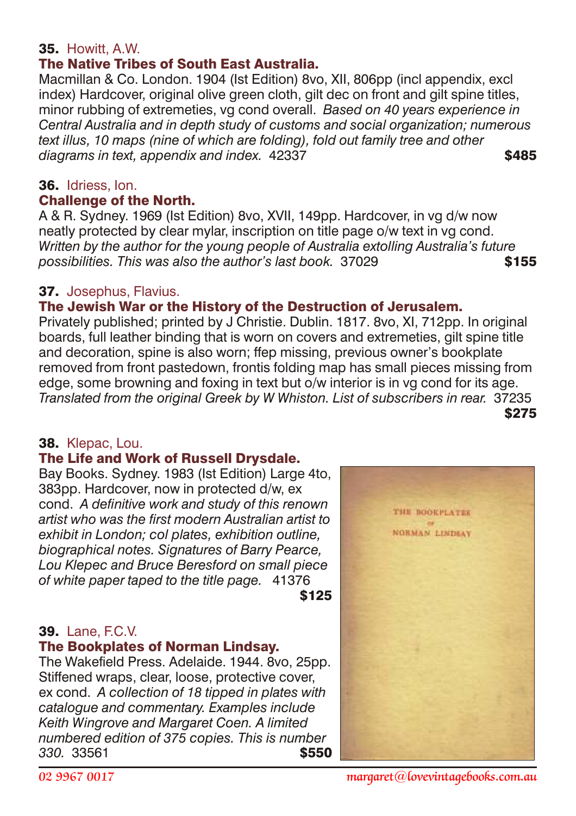# 35. Howitt, A.W.

# The Native Tribes of South East Australia.

Macmillan & Co. London. 1904 (Ist Edition) 8vo, XII, 806pp (incl appendix, excl index) Hardcover, original olive green cloth, gilt dec on front and gilt spine titles, minor rubbing of extremeties, vg cond overall. *Based on 40 years experience in Central Australia and in depth study of customs and social organization; numerous text illus, 10 maps (nine of which are folding), fold out family tree and other* diagrams in text, appendix and index. 42337 **\$485** 

# 36. Idriess, Ion.

#### Challenge of the North.

A & R. Sydney. 1969 (Ist Edition) 8vo, XVII, 149pp. Hardcover, in vg d/w now neatly protected by clear mylar, inscription on title page o/w text in vg cond. *Written by the author for the young people of Australia extolling Australia's future* **possibilities. This was also the author's last book.** 37029 **\$155** 

#### 37. Josephus, Flavius.

# The Jewish War or the History of the Destruction of Jerusalem.

Privately published; printed by J Christie. Dublin. 1817. 8vo, XI, 712pp. In original boards, full leather binding that is worn on covers and extremeties, gilt spine title and decoration, spine is also worn; ffep missing, previous owner's bookplate removed from front pastedown, frontis folding map has small pieces missing from edge, some browning and foxing in text but o/w interior is in vg cond for its age. *Translated from the original Greek by W Whiston. List of subscribers in rear.* 37235  $$275$ 

#### 38. Klepac, Lou.

#### The Life and Work of Russell Drysdale.

Bay Books. Sydney. 1983 (Ist Edition) Large 4to, 383pp. Hardcover, now in protected d/w, ex cond. *A definitive work and study of this renown artist who was the first modern Australian artist to exhibit in London; col plates, exhibition outline, biographical notes. Signatures of Barry Pearce, Lou Klepec and Bruce Beresford on small piece of white paper taped to the title page.* 41376  $$125$ 

#### 39. Lane, F.C.V.

#### The Bookplates of Norman Lindsay.

The Wakefield Press. Adelaide. 1944. 8vo, 25pp. Stiffened wraps, clear, loose, protective cover, ex cond. *A collection of 18 tipped in plates with catalogue and commentary. Examples include Keith Wingrove and Margaret Coen. A limited numbered edition of 375 copies. This is number 330.* 33561 \$550



*02 9967 0017 margaret@lovevintagebooks.com.au*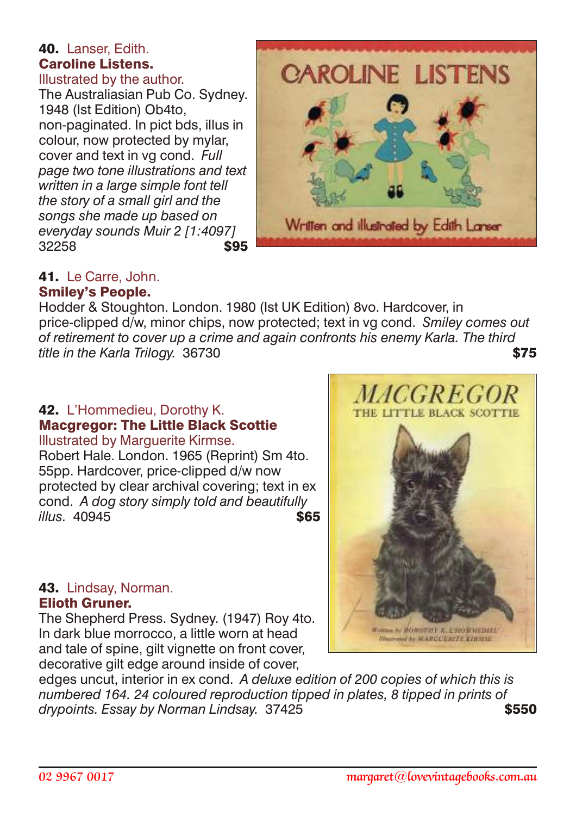#### 40. Lanser, Edith. Caroline Listens. Illustrated by the author.

The Australiasian Pub Co. Sydney. 1948 (Ist Edition) Ob4to, non-paginated. In pict bds, illus in colour, now protected by mylar, cover and text in vg cond. *Full page two tone illustrations and text written in a large simple font tell the story of a small girl and the songs she made up based on everyday sounds Muir 2 [1:4097]* 32258 **\$95** 



#### 41. Le Carre, John. Smiley's People.

Hodder & Stoughton. London. 1980 (Ist UK Edition) 8vo. Hardcover, in price-clipped d/w, minor chips, now protected; text in vg cond. *Smiley comes out of retirement to cover up a crime and again confronts his enemy Karla. The third title in the Karla Trilogy.* 36730 **\$75** 

# 42. L'Hommedieu, Dorothy K. Macgregor: The Little Black Scottie

Illustrated by Marguerite Kirmse. Robert Hale. London. 1965 (Reprint) Sm 4to. 55pp. Hardcover, price-clipped d/w now protected by clear archival covering; text in ex cond. *A dog story simply told and beautifully illus.* 40945 \$65

#### 43. Lindsay, Norman. Elioth Gruner.

The Shepherd Press. Sydney. (1947) Roy 4to. In dark blue morrocco, a little worn at head and tale of spine, gilt vignette on front cover. decorative gilt edge around inside of cover,

edges uncut, interior in ex cond. *A deluxe edition of 200 copies of which this is numbered 164. 24 coloured reproduction tipped in plates, 8 tipped in prints of* drypoints. Essay by Norman Lindsay. 37425 **\$550 \$550** 

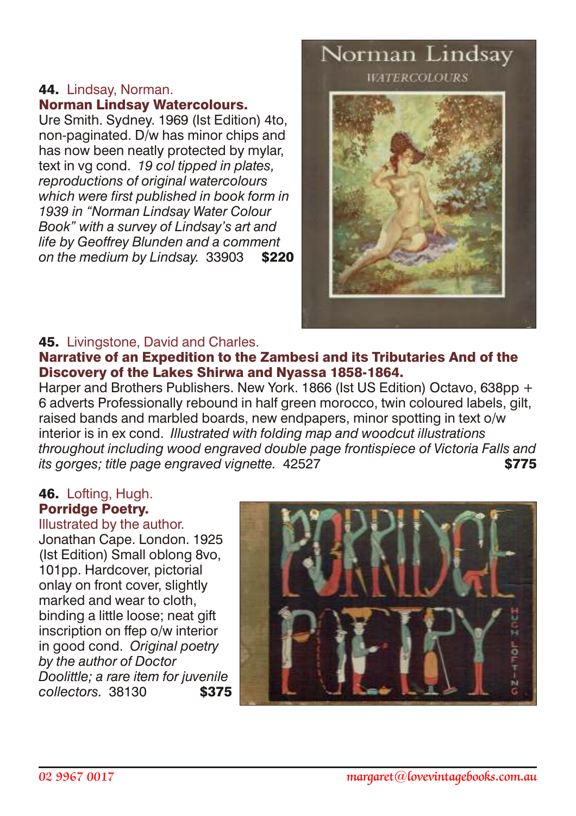#### 44. Lindsay, Norman. Norman Lindsay Watercolours.

Ure Smith. Sydney. 1969 (Ist Edition) 4to, non-paginated. D/w has minor chips and has now been neatly protected by mylar, text in vg cond. *19 col tipped in plates, reproductions of original watercolours which were first published in book form in 1939 in "Norman Lindsay Water Colour Book" with a survey of Lindsay's art and life by Geoffrey Blunden and a comment on the medium by Lindsay.* 33903 \$220

# Norman Lindsay **WATERCOLOURS**



#### 45. Livingstone, David and Charles.

#### Narrative of an Expedition to the Zambesi and its Tributaries And of the Discovery of the Lakes Shirwa and Nyassa 1858-1864.

Harper and Brothers Publishers. New York. 1866 (Ist US Edition) Octavo, 638pp + 6 adverts Professionally rebound in half green morocco, twin coloured labels, gilt, raised bands and marbled boards, new endpapers, minor spotting in text o/w interior is in ex cond. *Illustrated with folding map and woodcut illustrations throughout including wood engraved double page frontispiece of Victoria Falls and its gorges; title page engraved vignette.* 42527 \$775

#### 46. Lofting, Hugh. Porridge Poetry.

Illustrated by the author. Jonathan Cape. London. 1925 (Ist Edition) Small oblong 8vo, 101pp. Hardcover, pictorial onlay on front cover, slightly marked and wear to cloth, binding a little loose; neat gift inscription on ffep o/w interior in good cond. *Original poetry by the author of Doctor Doolittle; a rare item for juvenile collectors.* 38130 \$375

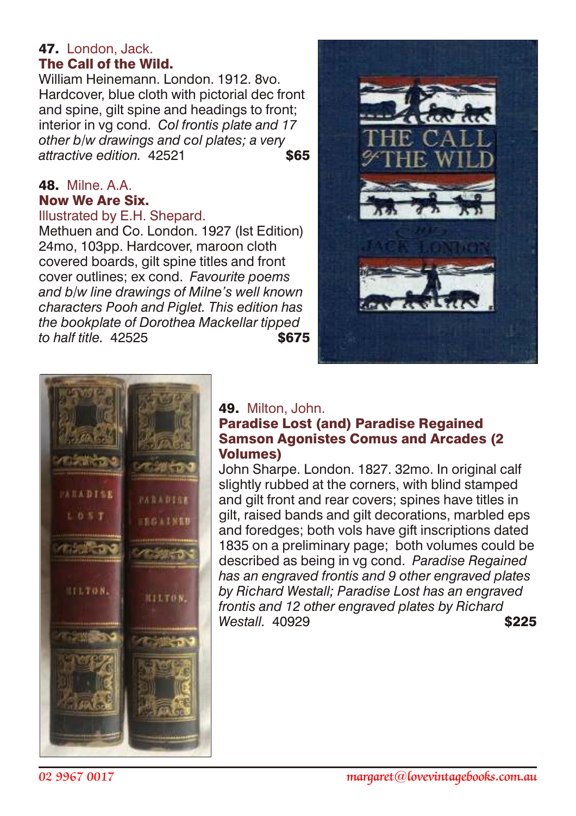#### 47. London, Jack. The Call of the Wild.

William Heinemann. London. 1912. 8vo. Hardcover, blue cloth with pictorial dec front and spine, gilt spine and headings to front; interior in vg cond. *Col frontis plate and 17 other b/w drawings and col plates; a very* attractive edition 42521 **\$65** 

# **48.** Milne. A A. Now We Are Six.

#### Illustrated by E.H. Shepard.

Methuen and Co. London. 1927 (Ist Edition) 24mo, 103pp. Hardcover, maroon cloth covered boards, gilt spine titles and front cover outlines; ex cond. *Favourite poems and b/w line drawings of Milne's well known characters Pooh and Piglet. This edition has the bookplate of Dorothea Mackellar tipped to half title.* 42525 \$675





#### 49. Milton, John.

# Paradise Lost (and) Paradise Regained Samson Agonistes Comus and Arcades (2 Volumes)

John Sharpe. London. 1827. 32mo. In original calf slightly rubbed at the corners, with blind stamped and gilt front and rear covers; spines have titles in gilt, raised bands and gilt decorations, marbled eps and foredges; both vols have gift inscriptions dated 1835 on a preliminary page; both volumes could be described as being in vg cond. *Paradise Regained has an engraved frontis and 9 other engraved plates by Richard Westall; Paradise Lost has an engraved frontis and 12 other engraved plates by Richard Westall.* 40929 **\$225**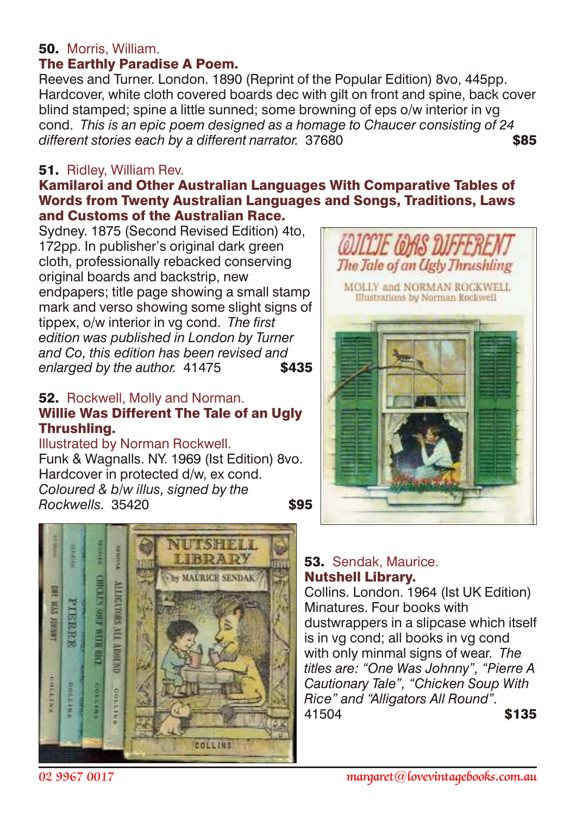# 50. Morris, William.

# The Earthly Paradise A Poem.

Reeves and Turner. London. 1890 (Reprint of the Popular Edition) 8vo, 445pp. Hardcover, white cloth covered boards dec with gilt on front and spine, back cover blind stamped; spine a little sunned; some browning of eps o/w interior in vg cond. *This is an epic poem designed as a homage to Chaucer consisting of 24 different stories each by a different narrator.* 37680 \$85

#### 51. Ridley, William Rev.

#### Kamilaroi and Other Australian Languages With Comparative Tables of Words from Twenty Australian Languages and Songs, Traditions, Laws and Customs of the Australian Race.

Sydney. 1875 (Second Revised Edition) 4to, 172pp. In publisher's original dark green cloth, professionally rebacked conserving original boards and backstrip, new endpapers; title page showing a small stamp mark and verso showing some slight signs of tippex, o/w interior in vg cond. *The first edition was published in London by Turner and Co, this edition has been revised and* enlarged by the author. 41475 **\$435** 

#### 52. Rockwell, Molly and Norman. Willie Was Different The Tale of an Ugly Thrushling.

#### Illustrated by Norman Rockwell. Funk & Wagnalls. NY. 1969 (Ist Edition) 8vo. Hardcover in protected d/w, ex cond. *Coloured & b/w illus, signed by the Rockwells.* 35420 **\$95**





# 53. Sendak, Maurice. Nutshell Library.

Collins. London. 1964 (Ist UK Edition) Minatures. Four books with dustwrappers in a slipcase which itself is in vg cond; all books in vg cond with only minmal signs of wear. *The titles are: "One Was Johnny", "Pierre A Cautionary Tale", "Chicken Soup With Rice" and "Alligators All Round".* 41504 **\$135**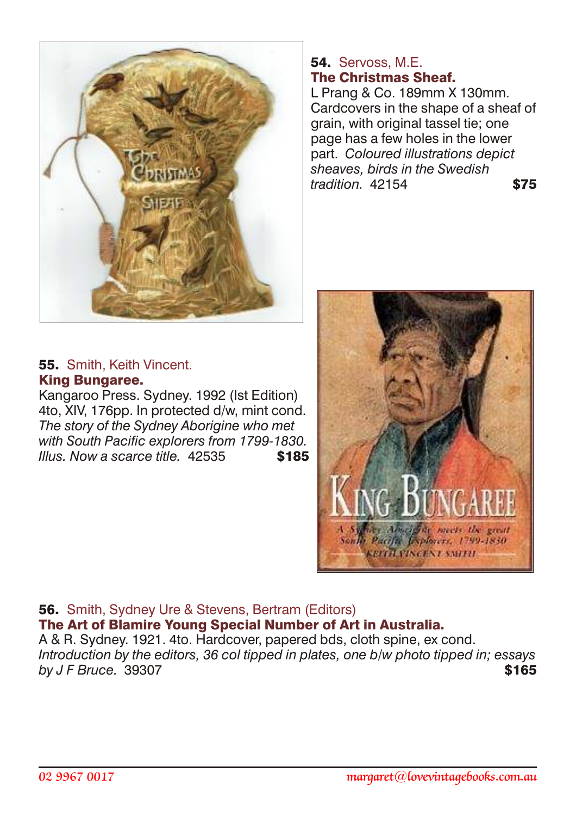

# 54. Servoss, M.F. The Christmas Sheaf.

L Prang & Co. 189mm X 130mm. Cardcovers in the shape of a sheaf of grain, with original tassel tie; one page has a few holes in the lower part. *Coloured illustrations depict sheaves, birds in the Swedish tradition.* 42154 \$75



#### 55. Smith, Keith Vincent. King Bungaree.

Kangaroo Press. Sydney. 1992 (Ist Edition) 4to, XIV, 176pp. In protected d/w, mint cond. *The story of the Sydney Aborigine who met with South Pacific explorers from 1799-1830. Illus. Now a scarce title.* 42535 **\$185** 

#### 56. Smith, Sydney Ure & Stevens, Bertram (Editors) The Art of Blamire Young Special Number of Art in Australia.

A & R. Sydney. 1921. 4to. Hardcover, papered bds, cloth spine, ex cond. *Introduction by the editors, 36 col tipped in plates, one b/w photo tipped in; essays by J F Bruce.* 39307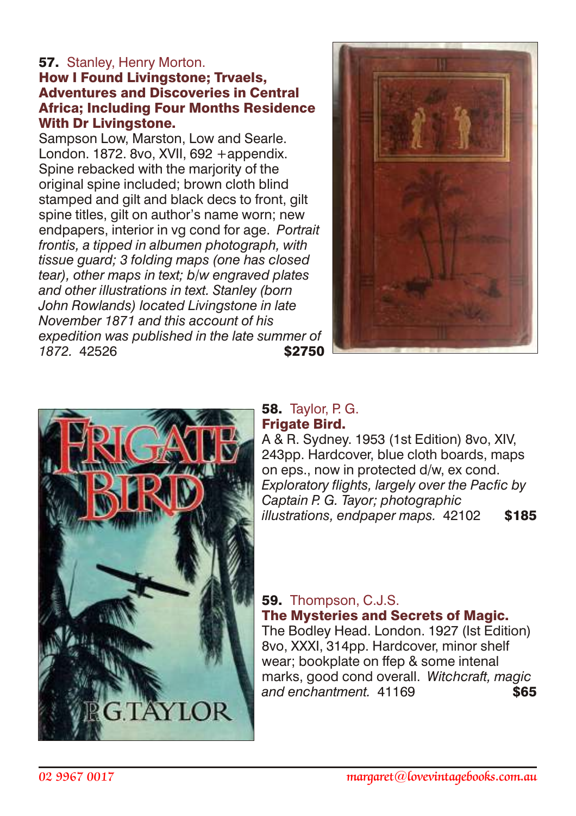# **57.** Stanley, Henry Morton.

#### How I Found Livingstone; Trvaels, Adventures and Discoveries in Central Africa; Including Four Months Residence With Dr Livingstone.

Sampson Low, Marston, Low and Searle. London. 1872. 8vo, XVII, 692 +appendix. Spine rebacked with the marjority of the original spine included; brown cloth blind stamped and gilt and black decs to front, gilt spine titles, gilt on author's name worn; new endpapers, interior in vg cond for age. *Portrait frontis, a tipped in albumen photograph, with tissue guard; 3 folding maps (one has closed tear), other maps in text; b/w engraved plates and other illustrations in text. Stanley (born John Rowlands) located Livingstone in late November 1871 and this account of his expedition was published in the late summer of* **1872.** 42526 **\$2750** 





# **58.** Taylor, P. G. **Frigate Bird.**

A & R. Sydney. 1953 (1st Edition) 8vo, XIV, 243pp. Hardcover, blue cloth boards, maps on eps., now in protected d/w, ex cond. *Exploratory flights, largely over the Pacfic by Captain P. G. Tayor; photographic illustrations, endpaper maps.* 42102 \$185

# 59. Thompson, C.J.S. The Mysteries and Secrets of Magic.

The Bodley Head. London. 1927 (Ist Edition) 8vo, XXXI, 314pp. Hardcover, minor shelf wear; bookplate on ffep & some intenal marks, good cond overall. *Witchcraft, magic* and enchantment. 41169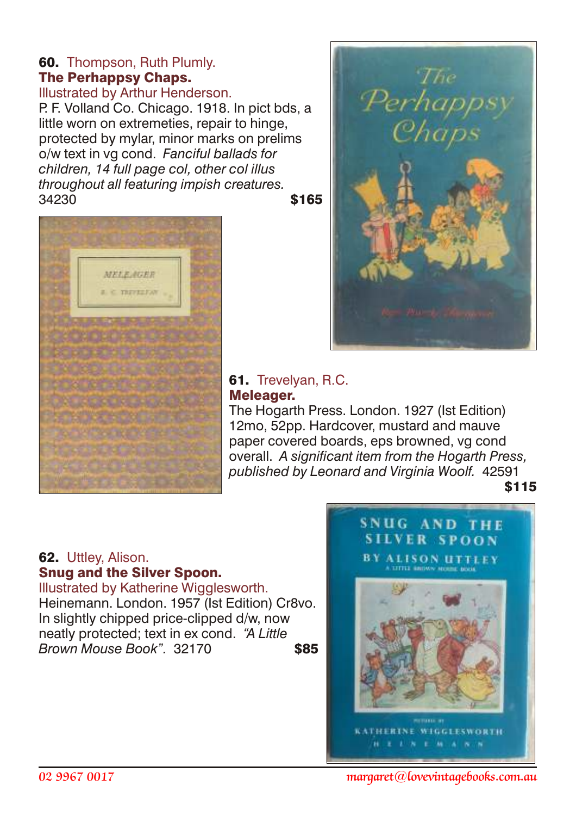# 60. Thompson, Ruth Plumly. The Perhappsy Chaps.

Illustrated by Arthur Henderson.

P. F. Volland Co. Chicago. 1918. In pict bds, a little worn on extremeties, repair to hinge, protected by mylar, minor marks on prelims o/w text in vg cond. *Fanciful ballads for children, 14 full page col, other col illus throughout all featuring impish creatures.*  $34230$  \$165





# 61. Trevelyan, R.C. Meleager.

The Hogarth Press. London. 1927 (Ist Edition) 12mo, 52pp. Hardcover, mustard and mauve paper covered boards, eps browned, vg cond overall. *A significant item from the Hogarth Press, published by Leonard and Virginia Woolf.* 42591

\$115

#### 62. Uttley, Alison. Snug and the Silver Spoon.

Illustrated by Katherine Wigglesworth. Heinemann. London. 1957 (Ist Edition) Cr8vo. In slightly chipped price-clipped d/w, now neatly protected; text in ex cond. *"A Little Brown Mouse Book".* 32170 \$85

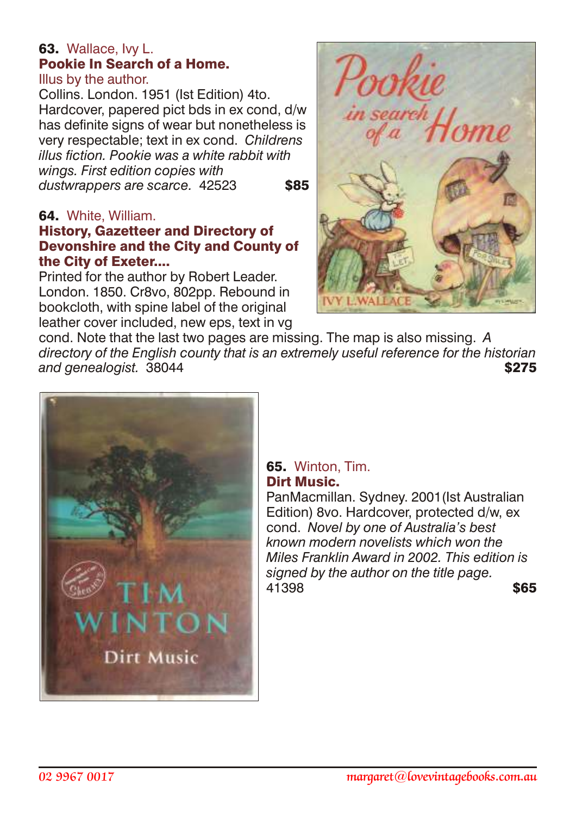# 63. Wallace, Ivy L. Pookie In Search of a Home.

Illus by the author.

Collins. London. 1951 (Ist Edition) 4to. Hardcover, papered pict bds in ex cond, d/w has definite signs of wear but nonetheless is very respectable; text in ex cond. *Childrens illus fiction. Pookie was a white rabbit with wings. First edition copies with* dustwrappers are scarce. 42523 **\$85** 

#### 64. White, William.

#### History, Gazetteer and Directory of Devonshire and the City and County of the City of Exeter....

Printed for the author by Robert Leader. London. 1850. Cr8vo, 802pp. Rebound in bookcloth, with spine label of the original leather cover included, new eps, text in vg



cond. Note that the last two pages are missing. The map is also missing. *A directory of the English county that is an extremely useful reference for the historian* **and genealogist.** 38044 **\$275** 



#### 65. Winton, Tim. Dirt Music.

PanMacmillan. Sydney. 2001(Ist Australian Edition) 8vo. Hardcover, protected d/w, ex cond. *Novel by one of Australia's best known modern novelists which won the Miles Franklin Award in 2002. This edition is signed by the author on the title page.* 41398 **\$65**